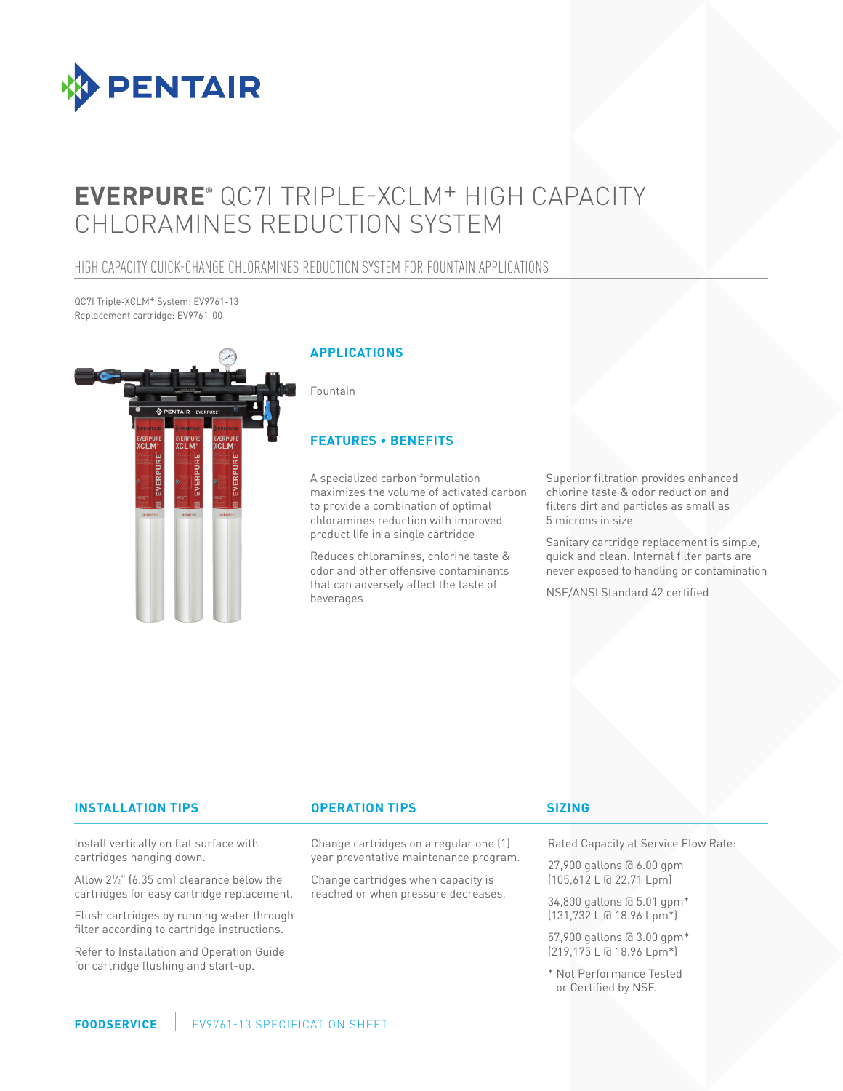

# **EVERPURE®** QC7I TRIPLE-XCLM+ HIGH CAPACITY CHLORAMINES REDUCTION SYSTEM

### HIGH CAPACITY QUICK-CHANGE CHLORAMINES REDUCTION SYSTEM FOR FOUNTAIN APPLICATIONS

QC7I Triple-XCLM+ System: EV9761-13 Replacement cartridge: EV9761-00



#### **INSTALLATION TIPS OPERATION TIPS**

Install vertically on flat surface with cartridges hanging down.

Allow 21 ⁄2" (6.35 cm) clearance below the cartridges for easy cartridge replacement.

Flush cartridges by running water through filter according to cartridge instructions.

Refer to Installation and Operation Guide for cartridge flushing and start-up.

Change cartridges on a regular one (1) year preventative maintenance program.

Change cartridges when capacity is reached or when pressure decreases.

#### **SIZING**

Rated Capacity at Service Flow Rate:

27,900 gallons @ 6.00 gpm (105,612 L @ 22.71 Lpm)

34,800 gallons @ 5.01 gpm\* (131,732 L @ 18.96 Lpm\*)

57,900 gallons @ 3.00 gpm\* (219,175 L @ 18.96 Lpm\*)

\* Not Performance Tested or Certified by NSF.